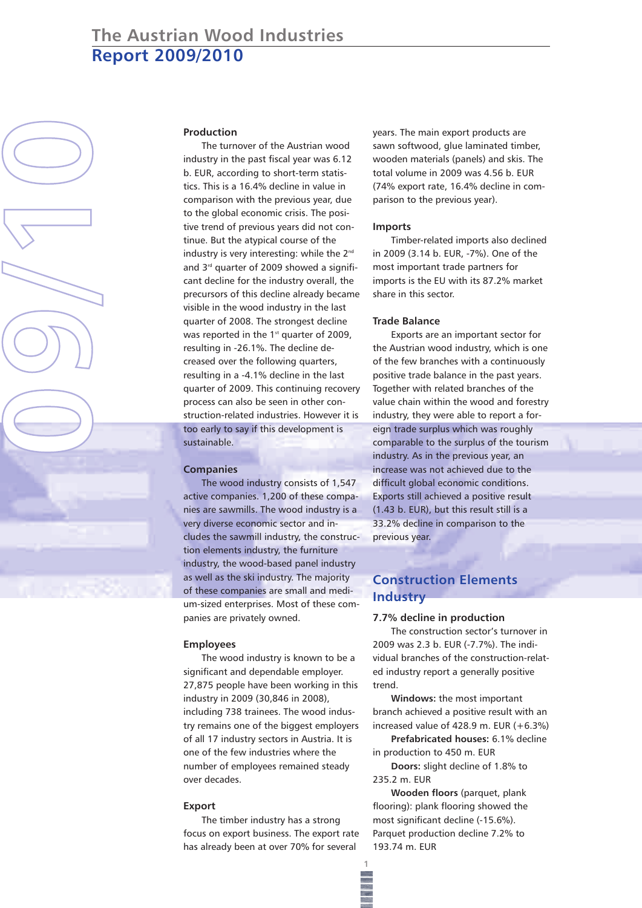# **The Austrian Wood Industries Report 2009/2010**



## **Production**

The turnover of the Austrian wood industry in the past fiscal year was 6.12 b. EUR, according to short-term statistics. This is a 16.4% decline in value in comparison with the previous year, due to the global economic crisis. The positive trend of previous years did not continue. But the atypical course of the industry is very interesting: while the 2<sup>nd</sup> and 3<sup>rd</sup> quarter of 2009 showed a significant decline for the industry overall, the precursors of this decline already became visible in the wood industry in the last quarter of 2008. The strongest decline was reported in the  $1<sup>st</sup>$  quarter of 2009, resulting in -26.1%. The decline decreased over the following quarters, resulting in a -4.1% decline in the last quarter of 2009. This continuing recovery process can also be seen in other construction-related industries. However it is too early to say if this development is sustainable.

## **Companies**

The wood industry consists of 1,547 active companies. 1,200 of these companies are sawmills. The wood industry is a very diverse economic sector and includes the sawmill industry, the construction elements industry, the furniture industry, the wood-based panel industry as well as the ski industry. The majority of these companies are small and medium-sized enterprises. Most of these companies are privately owned.

### **Employees**

The wood industry is known to be a significant and dependable employer. 27,875 people have been working in this industry in 2009 (30,846 in 2008), including 738 trainees. The wood industry remains one of the biggest employers of all 17 industry sectors in Austria. It is one of the few industries where the number of employees remained steady over decades.

### **Export**

The timber industry has a strong focus on export business. The export rate has already been at over 70% for several

years. The main export products are sawn softwood, glue laminated timber, wooden materials (panels) and skis. The total volume in 2009 was 4.56 b. EUR (74% export rate, 16.4% decline in comparison to the previous year).

### **Imports**

Timber-related imports also declined in 2009 (3.14 b. EUR, -7%). One of the most important trade partners for imports is the EU with its 87.2% market share in this sector.

### **Trade Balance**

Exports are an important sector for the Austrian wood industry, which is one of the few branches with a continuously positive trade balance in the past years. Together with related branches of the value chain within the wood and forestry industry, they were able to report a foreign trade surplus which was roughly comparable to the surplus of the tourism industry. As in the previous year, an increase was not achieved due to the difficult global economic conditions. Exports still achieved a positive result (1.43 b. EUR), but this result still is a 33.2% decline in comparison to the previous year.

# **Construction Elements Industry**

#### **7.7% decline in production**

The construction sector's turnover in 2009 was 2.3 b. EUR (-7.7%). The individual branches of the construction-related industry report a generally positive trend.

**Windows:** the most important branch achieved a positive result with an increased value of 428.9 m. EUR (+6.3%)

**Prefabricated houses:** 6.1% decline in production to 450 m. EUR

**Doors:** slight decline of 1.8% to 235.2 m. EUR

**Wooden floors** (parquet, plank flooring): plank flooring showed the most significant decline (-15.6%). Parquet production decline 7.2% to 193.74 m. EUR

**1**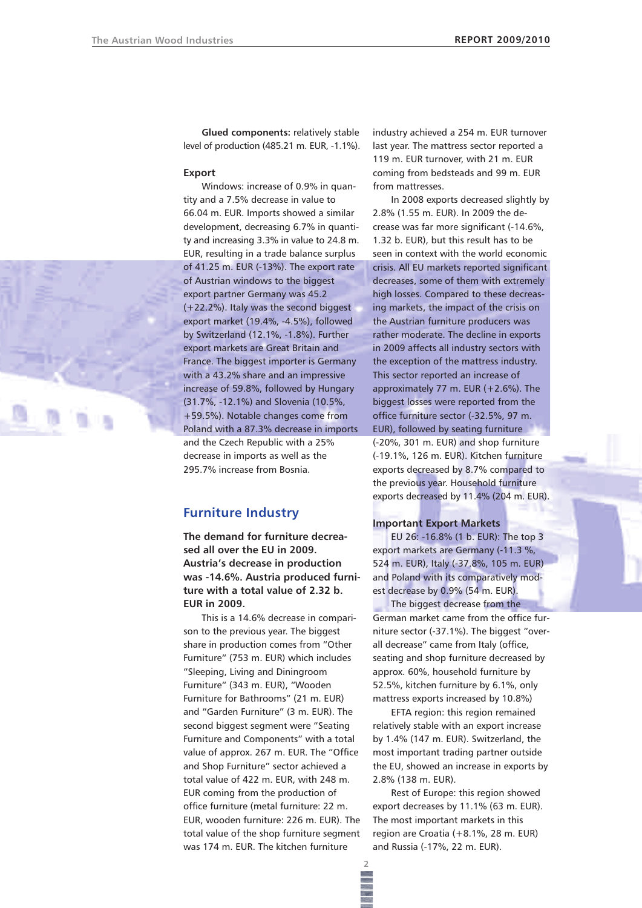**Glued components:** relatively stable level of production (485.21 m. EUR, -1.1%).

#### **Export**

Windows: increase of 0.9% in quantity and a 7.5% decrease in value to 66.04 m. EUR. Imports showed a similar development, decreasing 6.7% in quantity and increasing 3.3% in value to 24.8 m. EUR, resulting in a trade balance surplus of 41.25 m. EUR (-13%). The export rate of Austrian windows to the biggest export partner Germany was 45.2 (+22.2%). Italy was the second biggest export market (19.4%, -4.5%), followed by Switzerland (12.1%, -1.8%). Further export markets are Great Britain and France. The biggest importer is Germany with a 43.2% share and an impressive increase of 59.8%, followed by Hungary (31.7%, -12.1%) and Slovenia (10.5%, +59.5%). Notable changes come from Poland with a 87.3% decrease in imports and the Czech Republic with a 25% decrease in imports as well as the 295.7% increase from Bosnia.

# **Furniture Industry**

**The demand for furniture decreased all over the EU in 2009. Austria's decrease in production was -14.6%. Austria produced furniture with a total value of 2.32 b. EUR in 2009.**

This is a 14.6% decrease in comparison to the previous year. The biggest share in production comes from "Other Furniture" (753 m. EUR) which includes "Sleeping, Living and Diningroom Furniture" (343 m. EUR), "Wooden Furniture for Bathrooms" (21 m. EUR) and "Garden Furniture" (3 m. EUR). The second biggest segment were "Seating Furniture and Components" with a total value of approx. 267 m. EUR. The "Office and Shop Furniture" sector achieved a total value of 422 m. EUR, with 248 m. EUR coming from the production of office furniture (metal furniture: 22 m. EUR, wooden furniture: 226 m. EUR). The total value of the shop furniture segment was 174 m. EUR. The kitchen furniture

industry achieved a 254 m. EUR turnover last year. The mattress sector reported a 119 m. EUR turnover, with 21 m. EUR coming from bedsteads and 99 m. EUR from mattresses.

In 2008 exports decreased slightly by 2.8% (1.55 m. EUR). In 2009 the decrease was far more significant (-14.6%, 1.32 b. EUR), but this result has to be seen in context with the world economic crisis. All EU markets reported significant decreases, some of them with extremely high losses. Compared to these decreasing markets, the impact of the crisis on the Austrian furniture producers was rather moderate. The decline in exports in 2009 affects all industry sectors with the exception of the mattress industry. This sector reported an increase of approximately 77 m. EUR  $(+2.6%)$ . The biggest losses were reported from the office furniture sector (-32.5%, 97 m. EUR), followed by seating furniture (-20%, 301 m. EUR) and shop furniture (-19.1%, 126 m. EUR). Kitchen furniture exports decreased by 8.7% compared to the previous year. Household furniture exports decreased by 11.4% (204 m. EUR).

### **Important Export Markets**

EU 26: -16.8% (1 b. EUR): The top 3 export markets are Germany (-11.3 %, 524 m. EUR), Italy (-37.8%, 105 m. EUR) and Poland with its comparatively modest decrease by 0.9% (54 m. EUR).

The biggest decrease from the German market came from the office furniture sector (-37.1%). The biggest "overall decrease" came from Italy (office, seating and shop furniture decreased by approx. 60%, household furniture by 52.5%, kitchen furniture by 6.1%, only mattress exports increased by 10.8%)

EFTA region: this region remained relatively stable with an export increase by 1.4% (147 m. EUR). Switzerland, the most important trading partner outside the EU, showed an increase in exports by 2.8% (138 m. EUR).

Rest of Europe: this region showed export decreases by 11.1% (63 m. EUR). The most important markets in this region are Croatia (+8.1%, 28 m. EUR) and Russia (-17%, 22 m. EUR).

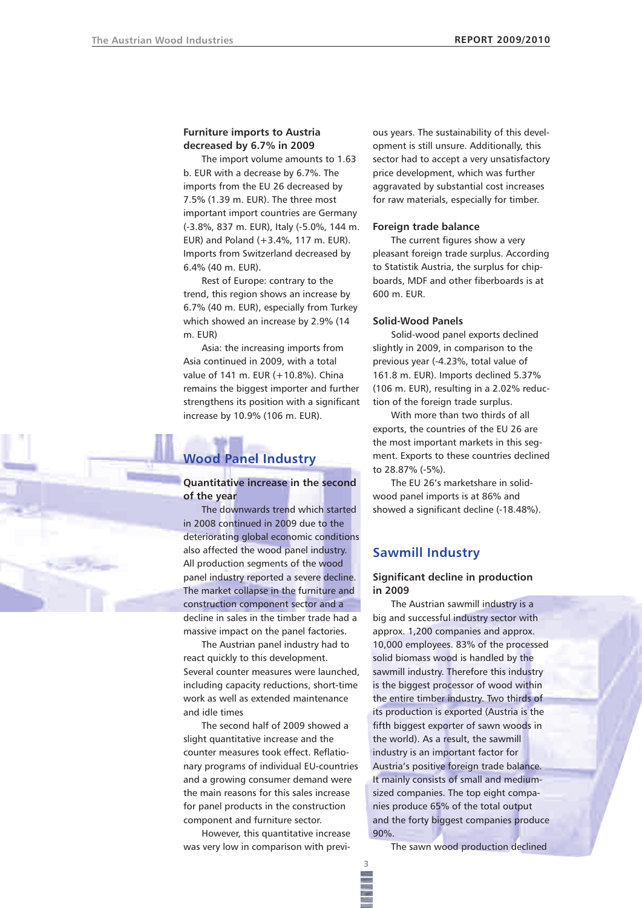### **Furniture imports to Austria decreased by 6.7% in 2009**

The import volume amounts to 1.63 b. EUR with a decrease by 6.7%. The imports from the EU 26 decreased by 7.5% (1.39 m. EUR). The three most important import countries are Germany (-3.8%, 837 m. EUR), Italy (-5.0%, 144 m. EUR) and Poland (+3.4%, 117 m. EUR). Imports from Switzerland decreased by 6.4% (40 m. EUR).

Rest of Europe: contrary to the trend, this region shows an increase by 6.7% (40 m. EUR), especially from Turkey which showed an increase by 2.9% (14 m. EUR)

Asia: the increasing imports from Asia continued in 2009, with a total value of 141 m. EUR (+10.8%). China remains the biggest importer and further strengthens its position with a significant increase by 10.9% (106 m. EUR).

# **Wood Panel Industry**

**Quantitative increase in the second of the year**

The downwards trend which started in 2008 continued in 2009 due to the deteriorating global economic conditions also affected the wood panel industry. All production segments of the wood panel industry reported a severe decline. The market collapse in the furniture and construction component sector and a decline in sales in the timber trade had a massive impact on the panel factories.

The Austrian panel industry had to react quickly to this development. Several counter measures were launched, including capacity reductions, short-time work as well as extended maintenance and idle times

The second half of 2009 showed a slight quantitative increase and the counter measures took effect. Reflationary programs of individual EU-countries and a growing consumer demand were the main reasons for this sales increase for panel products in the construction component and furniture sector.

However, this quantitative increase was very low in comparison with previ-

**3**

ous years. The sustainability of this development is still unsure. Additionally, this sector had to accept a very unsatisfactory price development, which was further aggravated by substantial cost increases for raw materials, especially for timber.

### **Foreign trade balance**

The current figures show a very pleasant foreign trade surplus. According to Statistik Austria, the surplus for chipboards, MDF and other fiberboards is at 600 m. EUR.

### **Solid-Wood Panels**

Solid-wood panel exports declined slightly in 2009, in comparison to the previous year (-4.23%, total value of 161.8 m. EUR). Imports declined 5.37% (106 m. EUR), resulting in a 2.02% reduction of the foreign trade surplus.

With more than two thirds of all exports, the countries of the EU 26 are the most important markets in this segment. Exports to these countries declined to 28.87% (-5%).

The EU 26's marketshare in solidwood panel imports is at 86% and showed a significant decline (-18.48%).

# **Sawmill Industry**

## **Significant decline in production in 2009**

The Austrian sawmill industry is a big and successful industry sector with approx. 1,200 companies and approx. 10,000 employees. 83% of the processed solid biomass wood is handled by the sawmill industry. Therefore this industry is the biggest processor of wood within the entire timber industry. Two thirds of its production is exported (Austria is the fifth biggest exporter of sawn woods in the world). As a result, the sawmill industry is an important factor for Austria's positive foreign trade balance. It mainly consists of small and mediumsized companies. The top eight companies produce 65% of the total output and the forty biggest companies produce 90%.

The sawn wood production declined